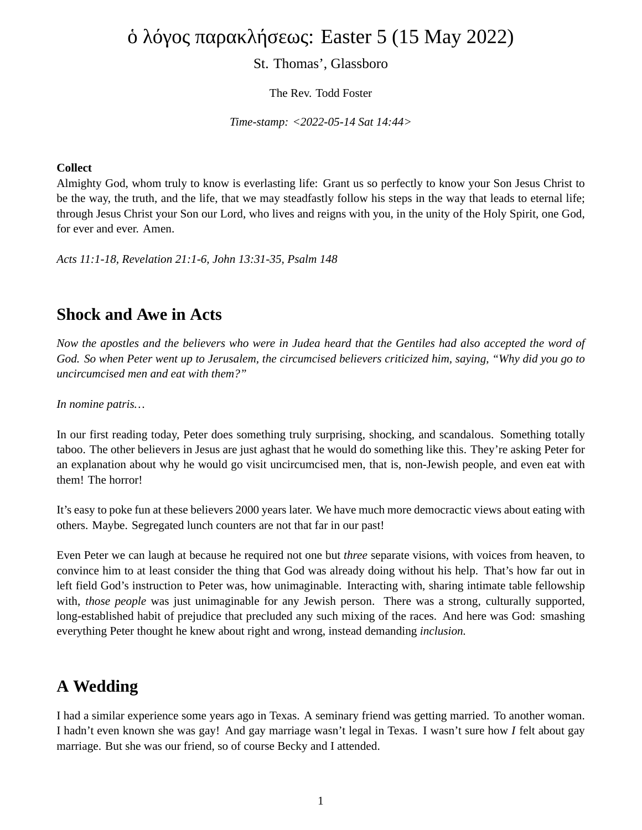# ὁ λόγος παρακλήσεως: Easter 5 (15 May 2022)

#### St. Thomas', Glassboro

The Rev. Todd Foster

*Time-stamp: <2022-05-14 Sat 14:44>*

#### **Collect**

Almighty God, whom truly to know is everlasting life: Grant us so perfectly to know your Son Jesus Christ to be the way, the truth, and the life, that we may steadfastly follow his steps in the way that leads to eternal life; through Jesus Christ your Son our Lord, who lives and reigns with you, in the unity of the Holy Spirit, one God, for ever and ever. Amen.

*Acts 11:1-18, Revelation 21:1-6, John 13:31-35, Psalm 148*

#### **Shock and Awe in Acts**

*Now the apostles and the believers who were in Judea heard that the Gentiles had also accepted the word of God. So when Peter went up to Jerusalem, the circumcised believers criticized him, saying, "Why did you go to uncircumcised men and eat with them?"*

*In nomine patris…*

In our first reading today, Peter does something truly surprising, shocking, and scandalous. Something totally taboo. The other believers in Jesus are just aghast that he would do something like this. They're asking Peter for an explanation about why he would go visit uncircumcised men, that is, non-Jewish people, and even eat with them! The horror!

It's easy to poke fun at these believers 2000 years later. We have much more democractic views about eating with others. Maybe. Segregated lunch counters are not that far in our past!

Even Peter we can laugh at because he required not one but *three* separate visions, with voices from heaven, to convince him to at least consider the thing that God was already doing without his help. That's how far out in left field God's instruction to Peter was, how unimaginable. Interacting with, sharing intimate table fellowship with, *those people* was just unimaginable for any Jewish person. There was a strong, culturally supported, long-established habit of prejudice that precluded any such mixing of the races. And here was God: smashing everything Peter thought he knew about right and wrong, instead demanding *inclusion.*

### **A Wedding**

I had a similar experience some years ago in Texas. A seminary friend was getting married. To another woman. I hadn't even known she was gay! And gay marriage wasn't legal in Texas. I wasn't sure how *I* felt about gay marriage. But she was our friend, so of course Becky and I attended.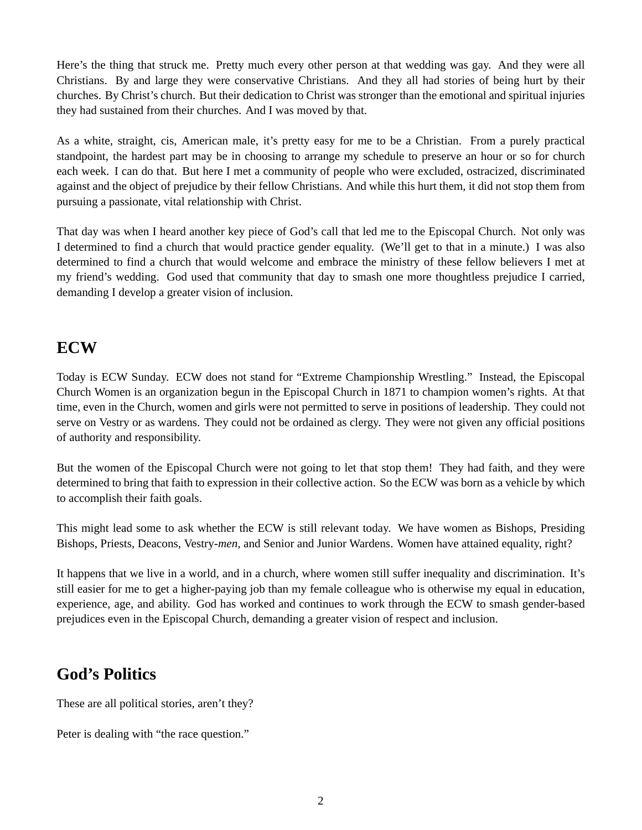Here's the thing that struck me. Pretty much every other person at that wedding was gay. And they were all Christians. By and large they were conservative Christians. And they all had stories of being hurt by their churches. By Christ's church. But their dedication to Christ was stronger than the emotional and spiritual injuries they had sustained from their churches. And I was moved by that.

As a white, straight, cis, American male, it's pretty easy for me to be a Christian. From a purely practical standpoint, the hardest part may be in choosing to arrange my schedule to preserve an hour or so for church each week. I can do that. But here I met a community of people who were excluded, ostracized, discriminated against and the object of prejudice by their fellow Christians. And while this hurt them, it did not stop them from pursuing a passionate, vital relationship with Christ.

That day was when I heard another key piece of God's call that led me to the Episcopal Church. Not only was I determined to find a church that would practice gender equality. (We'll get to that in a minute.) I was also determined to find a church that would welcome and embrace the ministry of these fellow believers I met at my friend's wedding. God used that community that day to smash one more thoughtless prejudice I carried, demanding I develop a greater vision of inclusion.

#### **ECW**

Today is ECW Sunday. ECW does not stand for "Extreme Championship Wrestling." Instead, the Episcopal Church Women is an organization begun in the Episcopal Church in 1871 to champion women's rights. At that time, even in the Church, women and girls were not permitted to serve in positions of leadership. They could not serve on Vestry or as wardens. They could not be ordained as clergy. They were not given any official positions of authority and responsibility.

But the women of the Episcopal Church were not going to let that stop them! They had faith, and they were determined to bring that faith to expression in their collective action. So the ECW was born as a vehicle by which to accomplish their faith goals.

This might lead some to ask whether the ECW is still relevant today. We have women as Bishops, Presiding Bishops, Priests, Deacons, Vestry-*men,* and Senior and Junior Wardens. Women have attained equality, right?

It happens that we live in a world, and in a church, where women still suffer inequality and discrimination. It's still easier for me to get a higher-paying job than my female colleague who is otherwise my equal in education, experience, age, and ability. God has worked and continues to work through the ECW to smash gender-based prejudices even in the Episcopal Church, demanding a greater vision of respect and inclusion.

## **God's Politics**

These are all political stories, aren't they?

Peter is dealing with "the race question."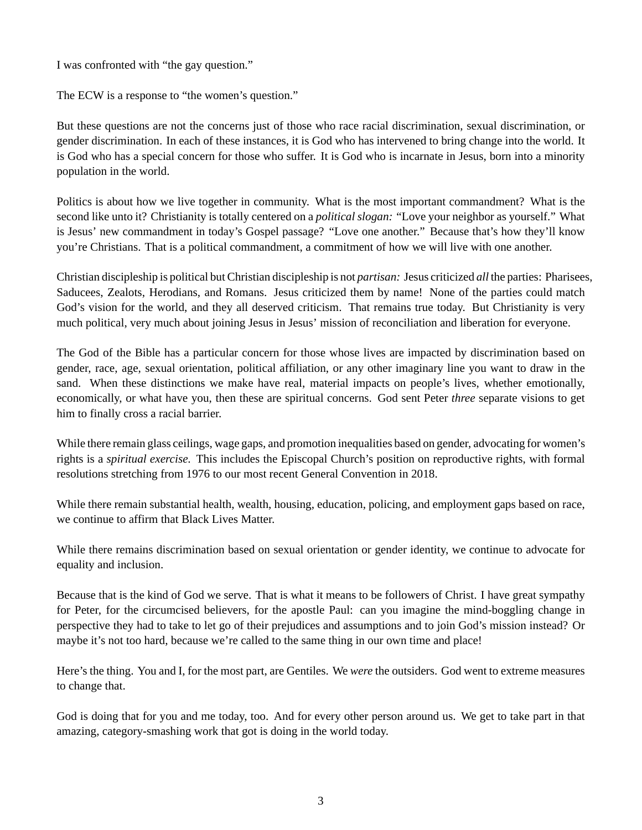I was confronted with "the gay question."

The ECW is a response to "the women's question."

But these questions are not the concerns just of those who race racial discrimination, sexual discrimination, or gender discrimination. In each of these instances, it is God who has intervened to bring change into the world. It is God who has a special concern for those who suffer. It is God who is incarnate in Jesus, born into a minority population in the world.

Politics is about how we live together in community. What is the most important commandment? What is the second like unto it? Christianity is totally centered on a *political slogan:* "Love your neighbor as yourself." What is Jesus' new commandment in today's Gospel passage? "Love one another." Because that's how they'll know you're Christians. That is a political commandment, a commitment of how we will live with one another.

Christian discipleship is political but Christian discipleship is not *partisan:* Jesus criticized *all* the parties: Pharisees, Saducees, Zealots, Herodians, and Romans. Jesus criticized them by name! None of the parties could match God's vision for the world, and they all deserved criticism. That remains true today. But Christianity is very much political, very much about joining Jesus in Jesus' mission of reconciliation and liberation for everyone.

The God of the Bible has a particular concern for those whose lives are impacted by discrimination based on gender, race, age, sexual orientation, political affiliation, or any other imaginary line you want to draw in the sand. When these distinctions we make have real, material impacts on people's lives, whether emotionally, economically, or what have you, then these are spiritual concerns. God sent Peter *three* separate visions to get him to finally cross a racial barrier.

While there remain glass ceilings, wage gaps, and promotion inequalities based on gender, advocating for women's rights is a *spiritual exercise.* This includes the Episcopal Church's position on reproductive rights, with formal resolutions stretching from 1976 to our most recent General Convention in 2018.

While there remain substantial health, wealth, housing, education, policing, and employment gaps based on race, we continue to affirm that Black Lives Matter.

While there remains discrimination based on sexual orientation or gender identity, we continue to advocate for equality and inclusion.

Because that is the kind of God we serve. That is what it means to be followers of Christ. I have great sympathy for Peter, for the circumcised believers, for the apostle Paul: can you imagine the mind-boggling change in perspective they had to take to let go of their prejudices and assumptions and to join God's mission instead? Or maybe it's not too hard, because we're called to the same thing in our own time and place!

Here's the thing. You and I, for the most part, are Gentiles. We *were* the outsiders. God went to extreme measures to change that.

God is doing that for you and me today, too. And for every other person around us. We get to take part in that amazing, category-smashing work that got is doing in the world today.